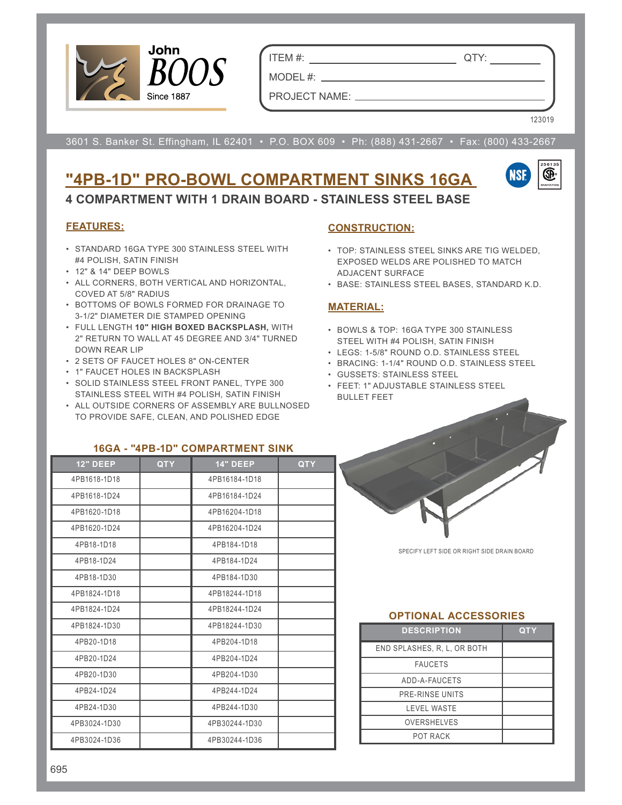

ITEM #: QTY:

PROJECT NAME:

MODEL #:

123019

3601 S. Banker St. Effingham, IL 62401 • P.O. BOX 609 • Ph: (888) 431-2667 • Fax: (800) 433-2667

# **"4PB-1D" PRO-BOWL COMPARTMENT SINKS 16GA**



**4 COMPARTMENT WITH 1 DRAIN BOARD - STAINLESS STEEL BASE**

# **FEATURES:**

- STANDARD 16GA TYPE 300 STAINLESS STEEL WITH #4 POLISH, SATIN FINISH
- 12" & 14" DEEP BOWLS
- ALL CORNERS, BOTH VERTICAL AND HORIZONTAL, COVED AT 5/8" RADIUS
- BOTTOMS OF BOWLS FORMED FOR DRAINAGE TO 3-1/2" DIAMETER DIE STAMPED OPENING
- FULL LENGTH **10" HIGH BOXED BACKSPLASH,** WITH 2" RETURN TO WALL AT 45 DEGREE AND 3/4" TURNED DOWN REAR LIP
- 2 SETS OF FAUCET HOLES 8" ON-CENTER
- 1" FAUCET HOLES IN BACKSPLASH
- SOLID STAINLESS STEEL FRONT PANEL, TYPE 300 STAINLESS STEEL WITH #4 POLISH, SATIN FINISH
- ALL OUTSIDE CORNERS OF ASSEMBLY ARE BULLNOSED TO PROVIDE SAFE, CLEAN, AND POLISHED EDGE

# **CONSTRUCTION:**

- TOP: STAINLESS STEEL SINKS ARE TIG WELDED, EXPOSED WELDS ARE POLISHED TO MATCH ADJACENT SURFACE
- BASE: STAINLESS STEEL BASES, STANDARD K.D.

### **MATERIAL:**

- BOWLS & TOP: 16GA TYPE 300 STAINLESS STEEL WITH #4 POLISH, SATIN FINISH
- LEGS: 1-5/8" ROUND O.D. STAINLESS STEEL
- BRACING: 1-1/4" ROUND O.D. STAINLESS STEEL
- GUSSETS: STAINLESS STEEL
- FEET: 1" ADJUSTABLE STAINLESS STEEL BULLET FEET

| <b>12" DEEP</b> | <b>QTY</b> | <b>14" DEEP</b> | <b>QTY</b> |
|-----------------|------------|-----------------|------------|
| 4PB1618-1D18    |            | 4PB16184-1D18   |            |
| 4PB1618-1D24    |            | 4PB16184-1D24   |            |
| 4PB1620-1D18    |            | 4PB16204-1D18   |            |
| 4PB1620-1D24    |            | 4PB16204-1D24   |            |
| 4PB18-1D18      |            | 4PB184-1D18     |            |
| 4PB18-1D24      |            | 4PB184-1D24     |            |
| 4PB18-1D30      |            | 4PB184-1D30     |            |
| 4PB1824-1D18    |            | 4PB18244-1D18   |            |
| 4PB1824-1D24    |            | 4PB18244-1D24   |            |
| 4PB1824-1D30    |            | 4PB18244-1D30   |            |
| 4PB20-1D18      |            | 4PB204-1D18     |            |
| 4PB20-1D24      |            | 4PB204-1D24     |            |
| 4PB20-1D30      |            | 4PB204-1D30     |            |
| 4PB24-1D24      |            | 4PB244-1D24     |            |
| 4PB24-1D30      |            | 4PB244-1D30     |            |
| 4PB3024-1D30    |            | 4PB30244-1D30   |            |
| 4PB3024-1D36    |            | 4PB30244-1D36   |            |

#### **16GA - "4PB-1D" COMPARTMENT SINK**

SPECIFY LEFT SIDE OR RIGHT SIDE DRAIN BOARD

#### **OPTIONAL ACCESSORIES**

| <b>DESCRIPTION</b>          | QTY |
|-----------------------------|-----|
| END SPLASHES, R. L. OR BOTH |     |
| <b>FAUCETS</b>              |     |
| ADD-A-FAUCETS               |     |
| PRE-RINSE UNITS             |     |
| <b>LEVEL WASTE</b>          |     |
| <b>OVERSHELVES</b>          |     |
| POT RACK                    |     |